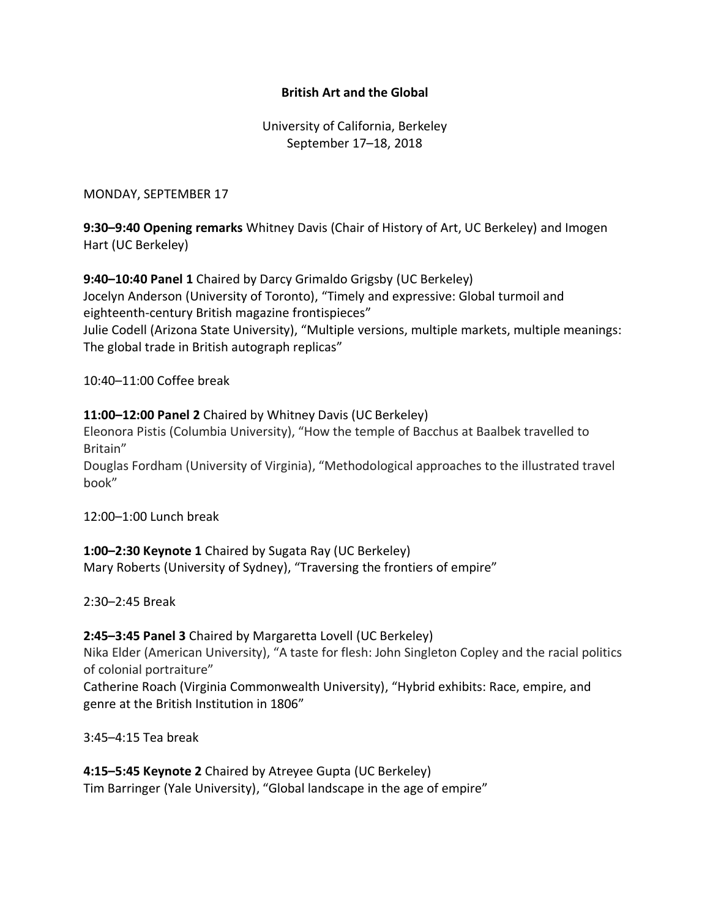### **British Art and the Global**

University of California, Berkeley September 17–18, 2018

MONDAY, SEPTEMBER 17

**9:30–9:40 Opening remarks** Whitney Davis (Chair of History of Art, UC Berkeley) and Imogen Hart (UC Berkeley)

**9:40–10:40 Panel 1** Chaired by Darcy Grimaldo Grigsby (UC Berkeley)

Jocelyn Anderson (University of Toronto), "Timely and expressive: Global turmoil and eighteenth-century British magazine frontispieces"

Julie Codell (Arizona State University), "Multiple versions, multiple markets, multiple meanings: The global trade in British autograph replicas"

10:40–11:00 Coffee break

#### **11:00–12:00 Panel 2** Chaired by Whitney Davis (UC Berkeley)

Eleonora Pistis (Columbia University), "How the temple of Bacchus at Baalbek travelled to Britain"

Douglas Fordham (University of Virginia), "Methodological approaches to the illustrated travel book"

12:00–1:00 Lunch break

**1:00–2:30 Keynote 1** Chaired by Sugata Ray (UC Berkeley) Mary Roberts (University of Sydney), "Traversing the frontiers of empire"

2:30–2:45 Break

#### **2:45–3:45 Panel 3** Chaired by Margaretta Lovell (UC Berkeley)

Nika Elder (American University), "A taste for flesh: John Singleton Copley and the racial politics of colonial portraiture"

Catherine Roach (Virginia Commonwealth University), "Hybrid exhibits: Race, empire, and genre at the British Institution in 1806"

3:45–4:15 Tea break

**4:15–5:45 Keynote 2** Chaired by Atreyee Gupta (UC Berkeley) Tim Barringer (Yale University), "Global landscape in the age of empire"